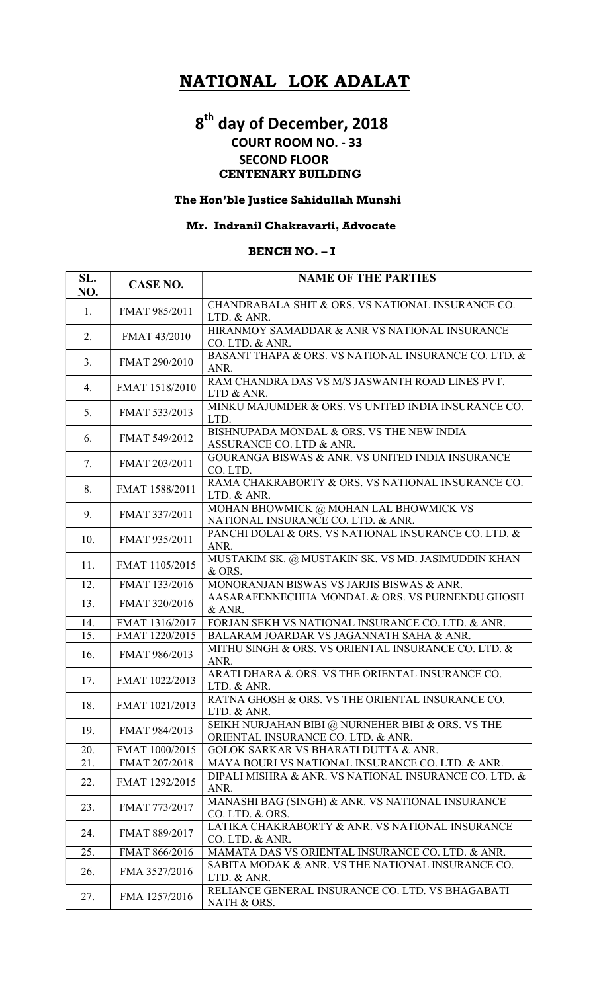# NATIONAL LOK ADALAT

# 8<sup>th</sup> day of December, 2018

## COURT ROOM NO. - 33 SECOND FLOOR CENTENARY BUILDING

## The Hon'ble Justice Sahidullah Munshi

#### Mr. Indranil Chakravarti, Advocate

#### BENCH NO. – I

| SL.<br>NO. | <b>CASE NO.</b> | <b>NAME OF THE PARTIES</b>                                                              |
|------------|-----------------|-----------------------------------------------------------------------------------------|
| 1.         | FMAT 985/2011   | CHANDRABALA SHIT & ORS. VS NATIONAL INSURANCE CO.<br>LTD. & ANR.                        |
| 2.         | FMAT 43/2010    | HIRANMOY SAMADDAR & ANR VS NATIONAL INSURANCE<br>CO. LTD. & ANR.                        |
| 3.         | FMAT 290/2010   | BASANT THAPA & ORS. VS NATIONAL INSURANCE CO. LTD. &<br>ANR.                            |
| 4.         | FMAT 1518/2010  | RAM CHANDRA DAS VS M/S JASWANTH ROAD LINES PVT.<br>LTD & ANR.                           |
| 5.         | FMAT 533/2013   | MINKU MAJUMDER & ORS. VS UNITED INDIA INSURANCE CO.<br>LTD.                             |
| 6.         | FMAT 549/2012   | BISHNUPADA MONDAL & ORS. VS THE NEW INDIA<br>ASSURANCE CO. LTD & ANR.                   |
| 7.         | FMAT 203/2011   | GOURANGA BISWAS & ANR. VS UNITED INDIA INSURANCE<br>CO. LTD.                            |
| 8.         | FMAT 1588/2011  | RAMA CHAKRABORTY & ORS. VS NATIONAL INSURANCE CO.<br>LTD. & ANR.                        |
| 9.         | FMAT 337/2011   | MOHAN BHOWMICK @ MOHAN LAL BHOWMICK VS<br>NATIONAL INSURANCE CO. LTD. & ANR.            |
| 10.        | FMAT 935/2011   | PANCHI DOLAI & ORS. VS NATIONAL INSURANCE CO. LTD. &<br>ANR.                            |
| 11.        | FMAT 1105/2015  | MUSTAKIM SK. @ MUSTAKIN SK. VS MD. JASIMUDDIN KHAN<br>& ORS.                            |
| 12.        | FMAT 133/2016   | MONORANJAN BISWAS VS JARJIS BISWAS & ANR.                                               |
| 13.        | FMAT 320/2016   | AASARAFENNECHHA MONDAL & ORS. VS PURNENDU GHOSH<br>& ANR.                               |
| 14.        | FMAT 1316/2017  | FORJAN SEKH VS NATIONAL INSURANCE CO. LTD. & ANR.                                       |
| 15.        | FMAT 1220/2015  | BALARAM JOARDAR VS JAGANNATH SAHA & ANR.                                                |
| 16.        | FMAT 986/2013   | MITHU SINGH & ORS. VS ORIENTAL INSURANCE CO. LTD. &<br>ANR.                             |
| 17.        | FMAT 1022/2013  | ARATI DHARA & ORS. VS THE ORIENTAL INSURANCE CO.<br>LTD. & ANR.                         |
| 18.        | FMAT 1021/2013  | RATNA GHOSH & ORS. VS THE ORIENTAL INSURANCE CO.<br>LTD. & ANR.                         |
| 19.        | FMAT 984/2013   | SEIKH NURJAHAN BIBI @ NURNEHER BIBI & ORS. VS THE<br>ORIENTAL INSURANCE CO. LTD. & ANR. |
| 20.        | FMAT 1000/2015  | GOLOK SARKAR VS BHARATI DUTTA & ANR.                                                    |
| 21.        | FMAT 207/2018   | MAYA BOURI VS NATIONAL INSURANCE CO. LTD. & ANR.                                        |
| 22.        | FMAT 1292/2015  | DIPALI MISHRA & ANR. VS NATIONAL INSURANCE CO. LTD. &<br>ANR.                           |
| 23.        | FMAT 773/2017   | MANASHI BAG (SINGH) & ANR. VS NATIONAL INSURANCE<br>CO. LTD. & ORS.                     |
| 24.        | FMAT 889/2017   | LATIKA CHAKRABORTY & ANR. VS NATIONAL INSURANCE<br>CO. LTD. & ANR.                      |
| 25.        | FMAT 866/2016   | MAMATA DAS VS ORIENTAL INSURANCE CO. LTD. & ANR.                                        |
| 26.        | FMA 3527/2016   | SABITA MODAK & ANR. VS THE NATIONAL INSURANCE CO.<br>LTD. & ANR.                        |
| 27.        | FMA 1257/2016   | RELIANCE GENERAL INSURANCE CO. LTD. VS BHAGABATI<br>NATH & ORS.                         |